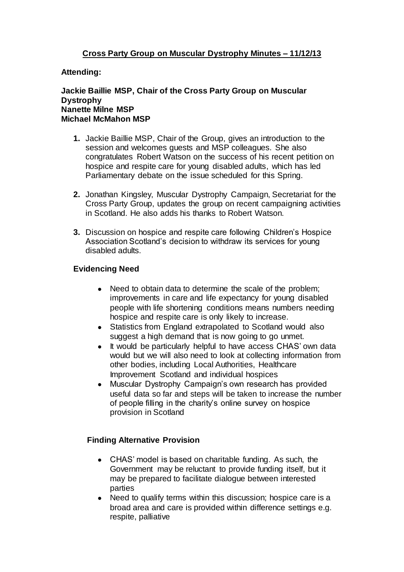# **Cross Party Group on Muscular Dystrophy Minutes – 11/12/13**

# **Attending:**

#### **Jackie Baillie MSP, Chair of the Cross Party Group on Muscular Dystrophy Nanette Milne MSP Michael McMahon MSP**

- **1.** Jackie Baillie MSP, Chair of the Group, gives an introduction to the session and welcomes guests and MSP colleagues. She also congratulates Robert Watson on the success of his recent petition on hospice and respite care for young disabled adults, which has led Parliamentary debate on the issue scheduled for this Spring.
- **2.** Jonathan Kingsley, Muscular Dystrophy Campaign, Secretariat for the Cross Party Group, updates the group on recent campaigning activities in Scotland. He also adds his thanks to Robert Watson.
- **3.** Discussion on hospice and respite care following Children's Hospice Association Scotland's decision to withdraw its services for young disabled adults.

# **Evidencing Need**

- Need to obtain data to determine the scale of the problem; improvements in care and life expectancy for young disabled people with life shortening conditions means numbers needing hospice and respite care is only likely to increase.
- Statistics from England extrapolated to Scotland would also suggest a high demand that is now going to go unmet.
- It would be particularly helpful to have access CHAS' own data would but we will also need to look at collecting information from other bodies, including Local Authorities, Healthcare Improvement Scotland and individual hospices
- Muscular Dystrophy Campaign's own research has provided useful data so far and steps will be taken to increase the number of people filling in the charity's online survey on hospice provision in Scotland

#### **Finding Alternative Provision**

- CHAS' model is based on charitable funding. As such, the Government may be reluctant to provide funding itself, but it may be prepared to facilitate dialogue between interested parties
- Need to qualify terms within this discussion; hospice care is a broad area and care is provided within difference settings e.g. respite, palliative